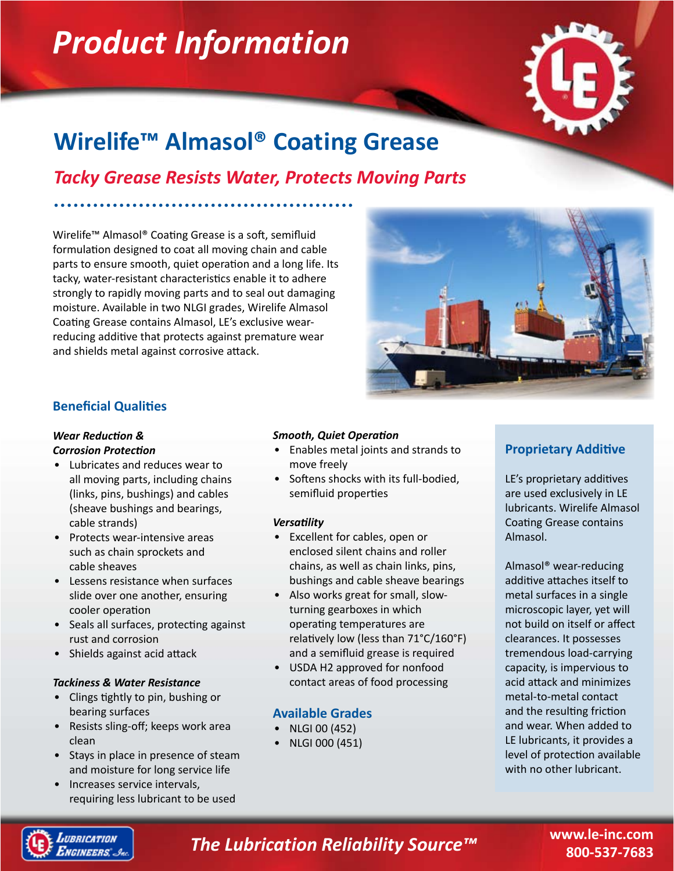# *Product Information*



## **Wirelife™ Almasol® Coating Grease**

### *Tacky Grease Resists Water, Protects Moving Parts*

Wirelife™ Almasol® Coating Grease is a soft, semifluid formulation designed to coat all moving chain and cable parts to ensure smooth, quiet operation and a long life. Its tacky, water-resistant characteristics enable it to adhere strongly to rapidly moving parts and to seal out damaging moisture. Available in two NLGI grades, Wirelife Almasol Coating Grease contains Almasol, LE's exclusive wearreducing additive that protects against premature wear and shields metal against corrosive attack.



#### **Beneficial Qualities**

#### *Wear Reduction & Corrosion Protection*

- Lubricates and reduces wear to all moving parts, including chains (links, pins, bushings) and cables (sheave bushings and bearings, cable strands)
- Protects wear-intensive areas such as chain sprockets and cable sheaves
- Lessens resistance when surfaces slide over one another, ensuring cooler operation
- Seals all surfaces, protecting against rust and corrosion
- Shields against acid attack

#### *Tackiness & Water Resistance*

- Clings tightly to pin, bushing or bearing surfaces
- Resists sling-off; keeps work area clean
- Stays in place in presence of steam and moisture for long service life
- Increases service intervals, requiring less lubricant to be used

#### *Smooth, Quiet Operation*

- Enables metal joints and strands to move freely
- Softens shocks with its full-bodied, semifluid properties

#### *Versatility*

- Excellent for cables, open or enclosed silent chains and roller chains, as well as chain links, pins, bushings and cable sheave bearings
- Also works great for small, slowturning gearboxes in which operating temperatures are relatively low (less than 71°C/160°F) and a semifluid grease is required •
- USDA H2 approved for nonfood contact areas of food processing

#### **Available Grades**

- NLGI 00 (452) •
- NLGI 000 (451) •

#### **Proprietary Additive**

LE's proprietary additives are used exclusively in LE lubricants. Wirelife Almasol Coating Grease contains Almasol.

Almasol® wear-reducing additive attaches itself to metal surfaces in a single microscopic layer, yet will not build on itself or affect clearances. It possesses tremendous load-carrying capacity, is impervious to acid attack and minimizes metal-to-metal contact and the resulting friction and wear. When added to LE lubricants, it provides a level of protection available with no other lubricant.



### *The Lubrication Reliability Source™*

**www.le-inc.com 800-537-7683**